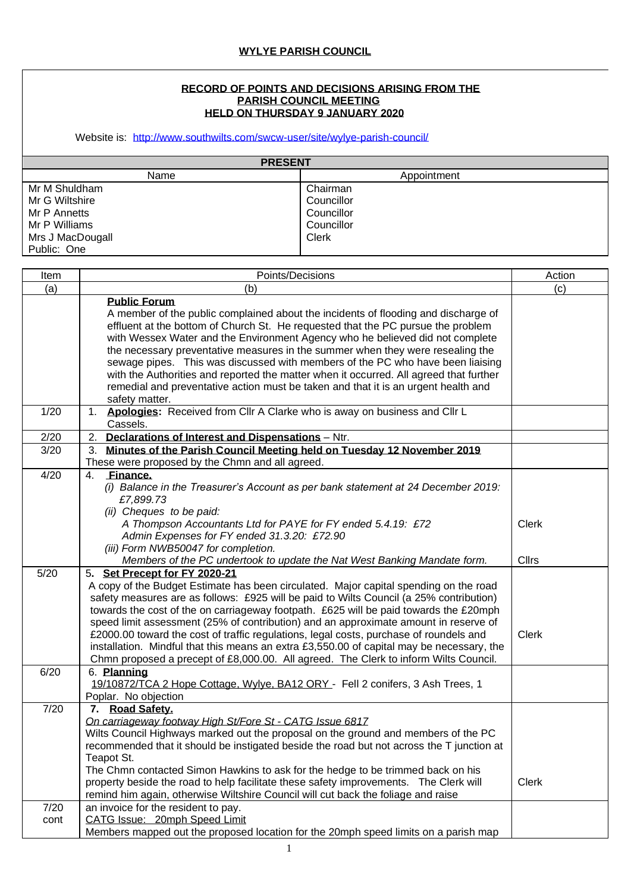## **RECORD OF POINTS AND DECISIONS ARISING FROM THE PARISH COUNCIL MEETING HELD ON THURSDAY 9 JANUARY 2020**

Website is: <http://www.southwilts.com/swcw-user/site/wylye-parish-council/>

| <b>PRESENT</b>   |             |  |
|------------------|-------------|--|
| Name             | Appointment |  |
| Mr M Shuldham    | Chairman    |  |
| Mr G Wiltshire   | Councillor  |  |
| Mr P Annetts     | Councillor  |  |
| Mr P Williams    | Councillor  |  |
| Mrs J MacDougall | Clerk       |  |
| Public: One      |             |  |

| Item         | Points/Decisions                                                                                                                                                                                                                                                                                                                                                                                                                                                                                                                                                                                                                                                                  | Action       |
|--------------|-----------------------------------------------------------------------------------------------------------------------------------------------------------------------------------------------------------------------------------------------------------------------------------------------------------------------------------------------------------------------------------------------------------------------------------------------------------------------------------------------------------------------------------------------------------------------------------------------------------------------------------------------------------------------------------|--------------|
| (a)          | (b)                                                                                                                                                                                                                                                                                                                                                                                                                                                                                                                                                                                                                                                                               | (c)          |
|              | <b>Public Forum</b><br>A member of the public complained about the incidents of flooding and discharge of<br>effluent at the bottom of Church St. He requested that the PC pursue the problem<br>with Wessex Water and the Environment Agency who he believed did not complete<br>the necessary preventative measures in the summer when they were resealing the<br>sewage pipes. This was discussed with members of the PC who have been liaising<br>with the Authorities and reported the matter when it occurred. All agreed that further<br>remedial and preventative action must be taken and that it is an urgent health and<br>safety matter.                              |              |
| 1/20         | Apologies: Received from Cllr A Clarke who is away on business and Cllr L<br>1.<br>Cassels.                                                                                                                                                                                                                                                                                                                                                                                                                                                                                                                                                                                       |              |
| 2/20         | 2.<br><b>Declarations of Interest and Dispensations - Ntr.</b>                                                                                                                                                                                                                                                                                                                                                                                                                                                                                                                                                                                                                    |              |
| 3/20         | 3. Minutes of the Parish Council Meeting held on Tuesday 12 November 2019                                                                                                                                                                                                                                                                                                                                                                                                                                                                                                                                                                                                         |              |
|              | These were proposed by the Chmn and all agreed.<br>Finance.                                                                                                                                                                                                                                                                                                                                                                                                                                                                                                                                                                                                                       |              |
| 4/20         | $4_{-}$<br>(i) Balance in the Treasurer's Account as per bank statement at 24 December 2019:<br>£7,899.73<br>(ii) Cheques to be paid:<br>A Thompson Accountants Ltd for PAYE for FY ended 5.4.19: £72<br>Admin Expenses for FY ended 31.3.20: £72.90<br>(iii) Form NWB50047 for completion.                                                                                                                                                                                                                                                                                                                                                                                       | <b>Clerk</b> |
|              | Members of the PC undertook to update the Nat West Banking Mandate form.                                                                                                                                                                                                                                                                                                                                                                                                                                                                                                                                                                                                          | <b>Cllrs</b> |
| 5/20         | 5. Set Precept for FY 2020-21<br>A copy of the Budget Estimate has been circulated. Major capital spending on the road<br>safety measures are as follows: £925 will be paid to Wilts Council (a 25% contribution)<br>towards the cost of the on carriageway footpath. £625 will be paid towards the £20mph<br>speed limit assessment (25% of contribution) and an approximate amount in reserve of<br>£2000.00 toward the cost of traffic regulations, legal costs, purchase of roundels and<br>installation. Mindful that this means an extra £3,550.00 of capital may be necessary, the<br>Chmn proposed a precept of £8,000.00. All agreed. The Clerk to inform Wilts Council. | <b>Clerk</b> |
| 6/20         | 6. Planning<br>19/10872/TCA 2 Hope Cottage, Wylye, BA12 ORY - Fell 2 conifers, 3 Ash Trees, 1<br>Poplar. No objection                                                                                                                                                                                                                                                                                                                                                                                                                                                                                                                                                             |              |
| 7/20         | 7. Road Safety.<br>On carriageway footway High St/Fore St - CATG Issue 6817<br>Wilts Council Highways marked out the proposal on the ground and members of the PC<br>recommended that it should be instigated beside the road but not across the T junction at<br>Teapot St.<br>The Chmn contacted Simon Hawkins to ask for the hedge to be trimmed back on his<br>property beside the road to help facilitate these safety improvements. The Clerk will<br>remind him again, otherwise Wiltshire Council will cut back the foliage and raise                                                                                                                                     | <b>Clerk</b> |
| 7/20<br>cont | an invoice for the resident to pay.<br>CATG Issue: 20mph Speed Limit<br>Members mapped out the proposed location for the 20mph speed limits on a parish map                                                                                                                                                                                                                                                                                                                                                                                                                                                                                                                       |              |